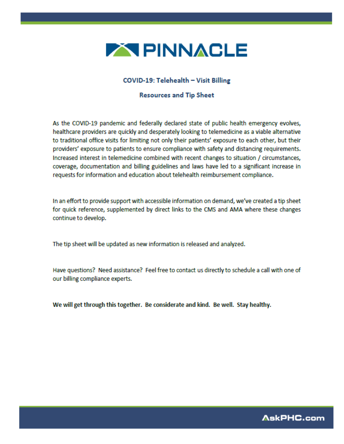

#### COVID-19: Telehealth - Visit Billing

#### **Resources and Tip Sheet**

As the COVID-19 pandemic and federally declared state of public health emergency evolves, healthcare providers are quickly and desperately looking to telemedicine as a viable alternative to traditional office visits for limiting not only their patients' exposure to each other, but their providers' exposure to patients to ensure compliance with safety and distancing requirements. Increased interest in telemedicine combined with recent changes to situation / circumstances, coverage, documentation and billing guidelines and laws have led to a significant increase in requests for information and education about telehealth reimbursement compliance.

In an effort to provide support with accessible information on demand, we've created a tip sheet for quick reference, supplemented by direct links to the CMS and AMA where these changes continue to develop.

The tip sheet will be updated as new information is released and analyzed.

Have questions? Need assistance? Feel free to contact us directly to schedule a call with one of our billing compliance experts.

We will get through this together. Be considerate and kind. Be well. Stay healthy.

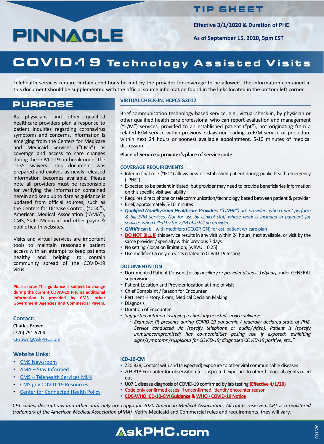### **TIP SHEET**

As physicians and other qualified healthcare providers plan a response to patient inquiries regarding coronavirus symptoms and concerns, information is emerging from the Centers for Medicare and Medicaid Services ("CMS") as coverage and access to care changes during the COVID-19 outbreak under the 1135 waivers. This document was prepared and evolves as newly released information becomes available. Please note all providers must be responsible for verifying the information contained herein and keep up to date as guidance is updated from official sources, such as the Centers for Disease Control, ("CDC"), American Medical Association ("AMA"), CMS, State Medicaid and other payor & public health websites.

- Interim final rule ("IFC") allows new or established patient during public health emergency ("PHE")
- Expected to be patient initiated, but provider may need to provide beneficiaries information on this specific visit availability
- Requires direct phone or telecommunication/technology based between patient & provider
- Brief, approximately 5-10 minutes
- *Qualified NonPhysician Healthcare Providers ("QNHP") are providers who cannot perform & bill E/M services. Not for use by clinical staff whose work is included in payment for services when billed by the E/M able billing provider.*
- **QNHPs** can bill with modifiers (GO,GP, GN) for est. patient w/ care plan • **DO NOT BILL IF** this service results in any visit within 24 hours, next available, or visit by the same provider / specialty within previous 7 days

Visits and virtual services are important tools to maintain reasonable patient access with an attempt to keep patients healthy and helping to contain community spread of the COVID-19 virus.

**Please note: This guidance is subject to change during the current COVID-19 PHE as additional information is provided by CMS, other Government Agencies and Commercial Payers.**

#### **VIRTUAL CHECK-IN: HCPCS G2012**

Brief communication technology-based service, e.g., virtual check-in, by physician or other qualified health care professional who can report evaluation and management ("E/M") services, provided to an established patient ("pt"), not originating from a related E/M service within previous 7 days nor leading to E/M service or procedure within next 24 hours or soonest available appointment. 5-10 minutes of medical discussion.

#### **Place of Service = provider's place of service code**

#### **COVERAGE REQUIREMENTS**

- CMS [Newsroom](https://www.cms.gov/newsroom)
- AMA Stay [Informed](https://www.ama-assn.org/delivering-care/public-health/covid-19-2019-novel-coronavirus-resource-center-physicians)
- CMS [Telehealth](https://www.cms.gov/Outreach-and-Education/Medicare-Learning-Network-MLN/MLNProducts/Downloads/TelehealthSrvcsfctsht.pdf) Services MLN
- CMS.gov COVID-19 [Resources](https://www.cms.gov/About-CMS/Agency-Information/Emergency/EPRO/Current-Emergencies/Current-Emergencies-page)
- **Center for [Connected](https://www.cchpca.org/resources/covid-19-telehealth-coverage-policies) Health Policy**
- No setting / location limitation;  $[WRVU = 0.25]$
- Use modifier CS only on visits related to COVID-19 testing

#### **DOCUMENTATION**

- Documented Patient Consent [or *by ancillary or provider at least 1x/year]* under GENERAL supervision
- Patient Location and Provider location at time of visit
- Chief Complaint / Reason for Encounter
- Pertinent History, Exam, Medical Decision Making
- Diagnosis
- Duration of Encounter
- *Suggested notation Justifying technology assisted service delivery:*
	- *Example: Pt presents during COVID-19 pandemic / federally declared state of PHE. Service conducted via (specify telephone or audio/video). Patient is (specify immunocompromised; has co-morbidities posing risk if exposed; exhibiting signs/symptoms/suspiciousfor COVID-19; diagnosed COVID-19 positive, etc.)"*

#### **ICD-10-CM**

- Z20.828, Contact with and (suspected) exposure to other viral communicable diseases
- Z03.818 Encounter for observation for suspected exposure to other biological agents ruled out
- U07.1 disease diagnosis of COVID-19 confirmed by lab testing **(Effective 4/1/20)**
- Code only confirmed cases- if unconfirmed, identify encounter reason
- **[CDC-WHOICD-10-CM](https://www.cdc.gov/nchs/data/icd/ICD-10-CM-Official-Coding-Gudance-Interim-Advice-coronavirus-feb-20-2020.pdf) Guidance & WHO- [COVID-19Notice](https://www.who.int/classifications/icd/covid19/en/)**

CPT codes, descriptions and other data only are copyright 2020 American Medical Association. All rights reserved. CPT is a registered trademark of the American Medical Association (AMA)- Verify Medicaid and Commercial rules and requirements, they will vary.

## **AskPHC.com**

**Effective 3/1/2020 & Duration of PHE**

**As of September 15, 2020, 5pm EST**

# COVID-19 Technology Assisted Visits

Telehealth services require certain conditions be met by the provider for coverage to be allowed. The information contained in this document should be supplemented with the official source information found in the links located in the bottom left corner.

### **PURPOSE**

#### **Contact:**

Charles Brown (720) 791-5704 [CBrown@AskPHC.com](mailto:CBrown@AskPHC.com)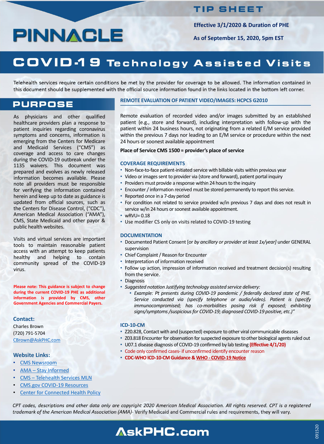### **TIP SHEET**

As physicians and other qualified healthcare providers plan a response to patient inquiries regarding coronavirus symptoms and concerns, information is emerging from the Centers for Medicare and Medicaid Services ("CMS") as coverage and access to care changes during the COVID-19 outbreak under the 1135 waivers. This document was prepared and evolves as newly released information becomes available. Please note all providers must be responsible for verifying the information contained herein and keep up to date as guidance is updated from official sources, such as the Centers for Disease Control, ("CDC"), American Medical Association ("AMA"), CMS, State Medicaid and other payor & public health websites.

Remote evaluation of recorded video and/or images submitted by an established patient (e.g., store and forward), including interpretation with follow-up with the patient within 24 business hours, not originating from a related E/M service provided within the previous 7 days nor leading to an E/M service or procedure within the next 24 hours or soonest available appointment

Visits and virtual services are important tools to maintain reasonable patient access with an attempt to keep patients healthy and helping to contain community spread of the COVID-19 virus.

**Please note: This guidance is subject to change during the current COVID-19 PHE as additional information is provided by CMS, other Government Agencies and Commercial Payers.**

#### **REMOTE EVALUATION OF PATIENT VIDEO/IMAGES: HCPCS G2010**

#### **Place of Service CMS 1500 = provider's place of service**

#### **COVERAGE REQUIREMENTS**

- CMS [Newsroom](https://www.cms.gov/newsroom)
- AMA Stay [Informed](https://www.ama-assn.org/delivering-care/public-health/covid-19-2019-novel-coronavirus-resource-center-physicians)
- CMS [Telehealth](https://www.cms.gov/Outreach-and-Education/Medicare-Learning-Network-MLN/MLNProducts/Downloads/TelehealthSrvcsfctsht.pdf) Services MLN
- CMS.gov COVID-19 [Resources](https://www.cms.gov/About-CMS/Agency-Information/Emergency/EPRO/Current-Emergencies/Current-Emergencies-page)
- **Center for [Connected](https://www.cchpca.org/resources/covid-19-telehealth-coverage-policies) Health Policy**
- Non-face-to-face patient-initiated service with billable visits within previous year
- Video or images sent to provider via (store and forward), patient portal inquiry
- Providers must provide a response within 24 hours to the inquiry
- Encounter / information received must be stored permanently to report this service.
- Reported once in a 7-day period
- For condition not related to service provided w/in previous 7 days and does not result in service w/in 24 hours or soonest available appointment.
- wRVU= 0.18
- Use modifier CS only on visits related to COVID-19 testing

#### **DOCUMENTATION**

- Documented Patient Consent [or *by ancillary or provider at least 1x/year]* under GENERAL supervision
- Chief Complaint/ Reason for Encounter
- Interpretation of information received
- Follow up action, impression of information received and treatment decision(s) resulting from the service.
- Diagnosis
- *Suggested notation Justifying technology assisted service delivery:*
	- *Example: Pt presents during COVID-19 pandemic / federally declared state of PHE. Service conducted via (specify telephone or audio/video). Patient is (specify immunocompromised; has co-morbidities posing risk if exposed; exhibiting signs/symptoms/suspiciousfor COVID-19; diagnosed COVID-19 positive, etc.)"*

#### **ICD-10-CM**

- Z20.828, Contact with and (suspected) exposure to other viral communicable diseases
- Z03.818 Encounter for observation for suspected exposure to other biological agents ruled out
- U07.1 disease diagnosis of COVID-19 confirmed by lab testing **(Effective 4/1/20)**
- Code only confirmed cases- if unconfirmed identify encounter reason
- **CDC-WHOICD-10-CM Guidance & WHO- [COVID-19Notice](https://www.who.int/classifications/icd/covid19/en/)**

CPT codes, descriptions and other data only are copyright 2020 American Medical Association. All rights reserved. CPT is a registered trademark of the American Medical Association (AMA)- Verify Medicaid and Commercial rules and requirements, they will vary.

## **AskPHC.com**

**Effective 3/1/2020 & Duration of PHE**

**As of September 15, 2020, 5pm EST**

# COVID-19 Technology Assisted Visits

Telehealth services require certain conditions be met by the provider for coverage to be allowed. The information contained in this document should be supplemented with the official source information found in the links located in the bottom left corner.

### **PURPOSE**

#### **Contact:**

Charles Brown (720) 791-5704 [CBrown@AskPHC.com](mailto:CBrown@AskPHC.com)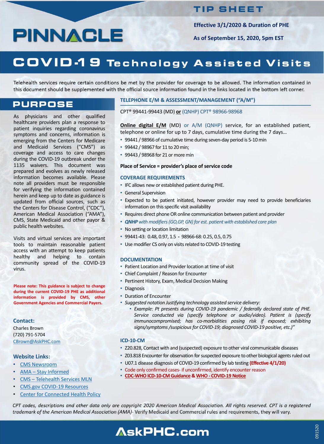### **TIP SHEET**

**Effective 3/1/2020 & Duration of PHE**

**As of September 15, 2020, 5pm EST**

## COVID-19 Technology Assisted Visits

Telehealth services require certain conditions be met by the provider for coverage to be allowed. The information contained in this document should be supplemented with the official source information found in the links located in the bottom left corner.

### **PURPOSE**

As physicians and other qualified healthcare providers plan a response to patient inquiries regarding coronavirus symptoms and concerns, information is emerging from the Centers for Medicare and Medicaid Services ("CMS") as coverage and access to care changes during the COVID-19 outbreak under the 1135 waivers. This document was prepared and evolves as newly released information becomes available. Please note all providers must be responsible for verifying the information contained herein and keep up to date as guidance is updated from official sources, such as the Centers for Disease Control, ("CDC"), American Medical Association ("AMA"), CMS, State Medicaid and other payor & public health websites.

- 99441 / 98966 of cumulative time during seven-day period is 5-10 min
- 99442 / 98967 for 11 to 20 min;
- 99443 / 98968 for 21 or more min

- IFC allows new or established patient during PHE.
- General Supervision
- Expected to be patient initiated, however provider may need to provide beneficiaries information on this specific visit availability
- Requires direct phone OR online communication between patient and provider
- *QNHP with modifiers(GO,GP, GN) for est. patient with established care plan*
- No setting or location limitation

Visits and virtual services are important tools to maintain reasonable patient access with an attempt to keep patients healthy and helping to contain community spread of the COVID-19 virus.

- 99441-43: 0.48, 0.97, 1.5 **-** 98966-68: 0.25, 0.5, 0.75
- Use modifier CS only on visits related to COVID-19 testing

**Please note: This guidance is subject to change during the current COVID-19 PHE as additional information is provided by CMS, other Government Agencies and Commercial Payers.**

#### **TELEPHONE E/M & ASSESSMENT/MANAGEMENT ("A/M")**

CPT® 99441-99443 (MD) **or** (QNHP) CPT® 98966-98968

**Online digital E/M** (MD) or A/M (QNHP) service, for an established patient, telephone or online for up to 7 days, cumulative time during the 7 days…

#### **Place of Service = provider's place of service code**

- CMS [Newsroom](https://www.cms.gov/newsroom)
- AMA Stay [Informed](https://www.ama-assn.org/delivering-care/public-health/covid-19-2019-novel-coronavirus-resource-center-physicians)
- CMS [Telehealth](https://www.cms.gov/Outreach-and-Education/Medicare-Learning-Network-MLN/MLNProducts/Downloads/TelehealthSrvcsfctsht.pdf) Services MLN
- CMS.gov COVID-19 [Resources](https://www.cms.gov/About-CMS/Agency-Information/Emergency/EPRO/Current-Emergencies/Current-Emergencies-page)
- **Center for [Connected](https://www.cchpca.org/resources/covid-19-telehealth-coverage-policies) Health Policy**

#### **COVERAGE REQUIREMENTS**

#### **DOCUMENTATION**

- Patient Location and Provider location at time of visit
- Chief Complaint / Reason for Encounter
- Pertinent History, Exam, Medical Decision Making
- Diagnosis
- Duration of Encounter
- *Suggested notation Justifying technology assisted service delivery:*
	- *Example: Pt presents during COVID-19 pandemic / federally declared state of PHE. Service conducted via (specify telephone or audio/video). Patient is (specify immunocompromised; has co-morbidities posing risk if exposed; exhibiting signs/symptoms/suspiciousfor COVID-19; diagnosed COVID-19 positive, etc.)"*

#### **ICD-10-CM**

- Z20.828, Contact with and (suspected) exposure to other viral communicable diseases
- Z03.818 Encounter for observation for suspected exposure to other biological agents ruled out
- U07.1 disease diagnosis of COVID-19 confirmed by lab testing **(Effective 4/1/20)**
- Code only confirmed cases- if unconfirmed, identify encounter reason
- **[CDC-WHOICD-10-CM](https://www.cdc.gov/nchs/data/icd/ICD-10-CM-Official-Coding-Gudance-Interim-Advice-coronavirus-feb-20-2020.pdf) Guidance & WHO- [COVID-19Notice](https://www.who.int/classifications/icd/covid19/en/)**

CPT codes, descriptions and other data only are copyright 2020 American Medical Association. All rights reserved. CPT is a registered trademark of the American Medical Association (AMA)- Verify Medicaid and Commercial rules and requirements, they will vary.

# **AskPHC.com**

#### **Contact:**

Charles Brown (720) 791-5704 [CBrown@AskPHC.com](mailto:CBrown@AskPHC.com)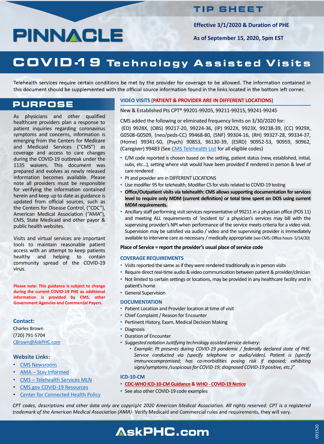### **TIP SHEET**

As physicians and other qualified healthcare providers plan a response to patient inquiries regarding coronavirus symptoms and concerns, information is emerging from the Centers for Medicare and Medicaid Services ("CMS") as coverage and access to care changes during the COVID-19 outbreak under the 1135 waivers. This document was prepared and evolves as newly released information becomes available. Please note all providers must be responsible for verifying the information contained herein and keep up to date as guidance is updated from official sources, such as the Centers for Disease Control, ("CDC"), American Medical Association ("AMA"), CMS, State Medicaid and other payor & public health websites.

Visits and virtual services are important tools to maintain reasonable patient access with an attempt to keep patients healthy and helping to contain community spread of the COVID-19 virus.

**Please note: This guidance is subject to change during the current COVID-19 PHE as additional information is provided by CMS, other Government Agencies and Commercial Payers.**

#### **VIDEO VISITS (PATIENT & PROVIDER ARE IN DIFFERENT LOCATIONS)**

New & Established Pts CPT® 99201-99205, 99211-99215, 99241-99245

CMS added the following or eliminated frequency limits on 3/30/2020 for:

(ED) 9928X, (OBS) 99217-20, 99224-36, (IP) 9922X, 9923X, 99238-39, (CC) 9929X, G0508-G0509, (neo/peds-CC) 99468-80, (SNF) 99304-16, (RH) 99327-28, 99334-37, (Home) 99341-50, (Psych) 90853, 96130-39, (ESRD) 90952-53, 90959, 90962, (Caregiver) 99483 (See CMS [Telehealth](https://www.cms.gov/Medicare/Medicare-General-Information/Telehealth/Telehealth-Codes) List for all eligible codes)

- Visits reported the same as if they were rendered traditionally as in person visits
- Require direct real-time audio & video communication between patient & provider/clinician
- Not limited to certain settings or locations, may be provided in any healthcare facility and in patient's home
- General Supervision

- CMS [Newsroom](https://www.cms.gov/newsroom)
- AMA Stay [Informed](https://www.ama-assn.org/delivering-care/public-health/covid-19-2019-novel-coronavirus-resource-center-physicians)
- CMS [Telehealth](https://www.cms.gov/Outreach-and-Education/Medicare-Learning-Network-MLN/MLNProducts/Downloads/TelehealthSrvcsfctsht.pdf) Services MLN
- CMS.gov COVID-19 [Resources](https://www.cms.gov/About-CMS/Agency-Information/Emergency/EPRO/Current-Emergencies/Current-Emergencies-page)
- **Center for [Connected](https://www.cchpca.org/resources/covid-19-telehealth-coverage-policies) Health Policy**

available to intervene care as necessary / medically appropriate (see CMS; Office hours- 5/14/20)

- E/M code reported is chosen based on the setting, patient status (new, established, initial, subs, etc…), setting where visit would have been provided if rendered in person & level of care rendered
- Pt and provider are in DIFFERENT LOCATIONS
- Use modifier 95 for telehealth; Modifier CS for visits related to COVID-19 testing
- **Office/Outpatient visits via telehealth: CMS allowssupporting documentation forservices level to require only MDM (current definition) or total time spent on DOS using current MDM requirements.**
- Ancillary staff performing visit services representative of 99211 in a physician office (POS 11) and meeting ALL requirements of 'incident to' a physician's services may bill with the supervising provider's NPI when performance of the service meets criteria for a video visit. Supervision may be satisfied via audio / video and the supervising provider is immediately

#### **Place of Service = report the provider's usual place ofservice code**

#### **COVERAGE REQUIREMENTS**

#### **DOCUMENTATION**

- Patient Location and Provider location at time of visit
- Chief Complaint / Reason for Encounter
- Pertinent History, Exam, Medical Decision Making
- Diagnosis
- Duration of Encounter
- *Suggested notation Justifying technology assisted service delivery:*
	- *Example: Pt presents during COVID-19 pandemic / federally declared state of PHE. Service conducted via (specify telephone or audio/video). Patient is (specify immunocompromised; has co-morbidities posing risk if exposed; exhibiting signs/symptoms/suspiciousfor COVID-19; diagnosed COVID-19 positive, etc.)"*

#### **ICD-10-CM**

- **[CDC-WHOICD-10-CM](https://www.cdc.gov/nchs/data/icd/ICD-10-CM-Official-Coding-Gudance-Interim-Advice-coronavirus-feb-20-2020.pdf) Guidance & WHO- [COVID-19Notice](https://www.who.int/classifications/icd/covid19/en/)**
- See also other COVID-19 code examples

CPT codes, descriptions and other data only are copyright 2020 American Medical Association. All rights reserved. CPT is a registered trademark of the American Medical Association (AMA)- Verify Medicaid and Commercial rules and requirements, they will vary.

# **AskPHC.com**

**Effective 3/1/2020 & Duration of PHE**

**As of September 15, 2020, 5pm EST**

# COVID-19 Technology Assisted Visits

Telehealth services require certain conditions be met by the provider for coverage to be allowed. The information contained in this document should be supplemented with the official source information found in the links located in the bottom left corner.

### **PURPOSE**

#### **Contact:**

Charles Brown (720) 791-5704 [CBrown@AskPHC.com](mailto:CBrown@AskPHC.com)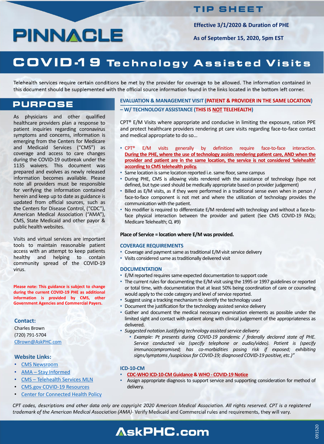### **TIP SHEET**

As physicians and other qualified healthcare providers plan a response to patient inquiries regarding coronavirus symptoms and concerns, information is emerging from the Centers for Medicare and Medicaid Services ("CMS") as coverage and access to care changes during the COVID-19 outbreak under the 1135 waivers. This document was prepared and evolves as newly released information becomes available. Please note all providers must be responsible for verifying the information contained herein and keep up to date as guidance is updated from official sources, such as the Centers for Disease Control, ("CDC"), American Medical Association ("AMA"), CMS, State Medicaid and other payor & public health websites.

Visits and virtual services are important tools to maintain reasonable patient access with an attempt to keep patients healthy and helping to contain community spread of the COVID-19 virus.

**Please note: This guidance is subject to change during the current COVID-19 PHE as additional information is provided by CMS, other Government Agencies and Commercial Payers.**

**Effective 3/1/2020 & Duration of PHE**

**As of September 15, 2020, 5pm EST**

## COVID-19 Technology Assisted Visits

Telehealth services require certain conditions be met by the provider for coverage to be allowed. The information contained in this document should be supplemented with the official source information found in the links located in the bottom left corner.

### **PURPOSE**

#### **EVALUATION & MANAGEMENT VISIT (PATIENT & PROVIDER IN THE SAME LOCATION) – W/ TECHNOLOGY ASSISTANCE (THIS IS NOT TELEHEALTH)**

CPT® E/M Visits where appropriate and conducive in limiting the exposure, ration PPE and protect healthcare providers rendering pt care visits regarding face-to-face contact and medical appropriate to do so…

- E/M reported requires same expected documentation to support code
- The current rules for documenting the E/M visit using the 1995 or 1997 guidelines or reported or total time, with documentation that at least 50% being coordination of care or counseling would apply to the code category and level of service reported.
- Suggest using a tracking mechanism to identify the technology used
- Document the justification for the technology assisted service delivery
- Gather and document the medical necessary examination elements as possible under the limited sight and contact with patient along with clinical judgement of the appropriateness as delivered.
- *Suggested notation Justifying technology assisted service delivery:*
	- *Example: Pt presents during COVID-19 pandemic / federally declared state of PHE. Service conducted via (specify telephone or audio/video). Patient is (specify immunocompromised; has co-morbidities posing risk if exposed; exhibiting signs/symptoms/suspiciousfor COVID-19; diagnosed COVID-19 positive, etc.)"*
- CPT® E/M visits generally by definition require face-to-face interaction. **During the PHE, where the use of technology assists rendering patient care, AND when the provider and patient are in the same location, the service is not considered 'telehealth' according to CMS telehealth policy.**
- Same location is same location reported i.e. same floor, same campus
- During PHE, CMS is allowing visits rendered with the assistance of technology (type not defined, but type used should be medically appropriate based on provider judgement)
- Billed as E/M visits, as if they were performed in a traditional sense even when in person / face-to-face component is not met and where the utilization of technology provides the communication with the patient.
- No modifier is required to differentiate E/M rendered with technology and without a face-toface physical interaction between the provider and patient (See CMS COVID-19 FAQs; Medicare Telehealth; Q. #9)

**Place of Service = location where E/M was provided.**

#### **COVERAGE REQUIREMENTS**

- Coverage and payment same as traditional E/M visit service delivery
- Visits considered same as traditionally delivered visit

#### **DOCUMENTATION**

#### **ICD-10-CM**

- **[CDC-WHOICD-10-CM](https://www.cdc.gov/nchs/data/icd/ICD-10-CM-Official-Coding-Gudance-Interim-Advice-coronavirus-feb-20-2020.pdf) Guidance & WHO- [COVID-19Notice](https://www.who.int/classifications/icd/covid19/en/)**
- Assign appropriate diagnosis to support service and supporting consideration for method of delivery.

CPT codes, descriptions and other data only are copyright 2020 American Medical Association. All rights reserved. CPT is a registered trademark of the American Medical Association (AMA)- Verify Medicaid and Commercial rules and requirements, they will vary.

# **AskPHC.com**

#### **Contact:**

Charles Brown (720) 791-5704 [CBrown@AskPHC.com](mailto:CBrown@AskPHC.com)

- CMS [Newsroom](https://www.cms.gov/newsroom)
- AMA Stay [Informed](https://www.ama-assn.org/delivering-care/public-health/covid-19-2019-novel-coronavirus-resource-center-physicians)
- CMS [Telehealth](https://www.cms.gov/Outreach-and-Education/Medicare-Learning-Network-MLN/MLNProducts/Downloads/TelehealthSrvcsfctsht.pdf) Services MLN
- CMS.gov COVID-19 [Resources](https://www.cms.gov/About-CMS/Agency-Information/Emergency/EPRO/Current-Emergencies/Current-Emergencies-page)
- Center for [Connected](https://www.cchpca.org/resources/covid-19-telehealth-coverage-policies) Health Policy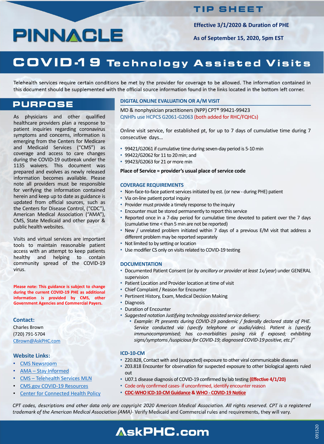### **TIP SHEET**

As physicians and other qualified healthcare providers plan a response to patient inquiries regarding coronavirus symptoms and concerns, information is emerging from the Centers for Medicare and Medicaid Services ("CMS") as coverage and access to care changes during the COVID-19 outbreak under the 1135 waivers. This document was prepared and evolves as newly released information becomes available. Please note all providers must be responsible for verifying the information contained herein and keep up to date as guidance is updated from official sources, such as the Centers for Disease Control, ("CDC"), American Medical Association ("AMA"), CMS, State Medicaid and other payor & public health websites.

- 99421/G2061 if cumulative time during seven-day period is 5-10 min
- 99422/G2062 for 11 to 20min; and
- 99423/G2063 for 21 or more min

Visits and virtual services are important tools to maintain reasonable patient access with an attempt to keep patients healthy and helping to contain community spread of the COVID-19 virus.

**Please note: This guidance is subject to change during the current COVID-19 PHE as additional information is provided by CMS, other Government Agencies and Commercial Payers.**

- Non-face-to-face patient services initiated by est. (or new during PHE) patient
- Via on-line patient portal inquiry
- Provider must provide a timely response to the inquiry
- Encounter must be stored permanently to report this service
- Reported once in a 7-day period for cumulative time devoted to patient over the 7 days (cumulative time < than 5 min are not be reported)
- New / unrelated problem initiated within 7 days of a previous E/M visit that address a
- different problem may be reported separately
- Not limited to by setting or location
- Use modifier CS only on visits related to COVID-19 testing

#### **DIGITAL ONLINE EVALUATION OR A/M VISIT**

MD & nonphysician practitioners (NPP) CPT® 99421-99423 QNHPs use HCPCS G2061-G2063 (both added for RHC/FQHCs)

Online visit service, for established pt, for up to 7 days of cumulative time during 7 consecutive days…

#### **Place of Service = provider's usual place of service code**

#### **COVERAGE REQUIREMENTS**

- CMS [Newsroom](https://www.cms.gov/newsroom)
- AMA Stay [Informed](https://www.ama-assn.org/delivering-care/public-health/covid-19-2019-novel-coronavirus-resource-center-physicians)
- CMS [Telehealth](https://www.cms.gov/Outreach-and-Education/Medicare-Learning-Network-MLN/MLNProducts/Downloads/TelehealthSrvcsfctsht.pdf) Services MLN
- CMS.gov COVID-19 [Resources](https://www.cms.gov/About-CMS/Agency-Information/Emergency/EPRO/Current-Emergencies/Current-Emergencies-page)
- **Center for [Connected](https://www.cchpca.org/resources/covid-19-telehealth-coverage-policies) Health Policy**

#### **DOCUMENTATION**

- Documented Patient Consent (or *by ancillary or provider at least 1x/year*) under GENERAL supervision
- Patient Location and Provider location at time of visit
- Chief Complaint / Reason for Encounter
- Pertinent History, Exam, Medical Decision Making
- Diagnosis
- Duration of Encounter
- *Suggested notation Justifying technology assisted service delivery:*
	- *Example: Pt presents during COVID-19 pandemic / federally declared state of PHE. Service conducted via (specify telephone or audio/video). Patient is (specify immunocompromised; has co-morbidities posing risk if exposed; exhibiting signs/symptoms/suspiciousfor COVID-19; diagnosed COVID-19 positive, etc.)"*

#### **ICD-10-CM**

- Z20.828, Contact with and (suspected) exposure to other viral communicable diseases
- Z03.818 Encounter for observation for suspected exposure to other biological agents ruled out
- U07.1 disease diagnosis of COVID-19 confirmed by lab testing **(Effective 4/1/20)**
- Code only confirmed cases- if unconfirmed, identify encounter reason
- **[CDC-WHOICD-10-CM](https://www.cdc.gov/nchs/data/icd/ICD-10-CM-Official-Coding-Gudance-Interim-Advice-coronavirus-feb-20-2020.pdf) Guidance & WHO- [COVID-19Notice](https://www.who.int/classifications/icd/covid19/en/)**

CPT codes, descriptions and other data only are copyright 2020 American Medical Association. All rights reserved. CPT is a registered trademark of the American Medical Association (AMA)- Verify Medicaid and Commercial rules and requirements, they will vary.

# **AskPHC.com**

**Effective 3/1/2020 & Duration of PHE**

**As of September 15, 2020, 5pm EST**

## COVID-19 Technology Assisted Visits

Telehealth services require certain conditions be met by the provider for coverage to be allowed. The information contained in this document should be supplemented with the official source information found in the links located in the bottom left corner.

### **PURPOSE**

#### **Contact:**

Charles Brown (720) 791-5704 [CBrown@AskPHC.com](mailto:CBrown@AskPHC.com)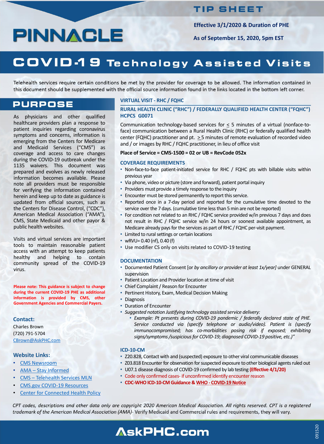### **TIP SHEET**

As physicians and other qualified healthcare providers plan a response to patient inquiries regarding coronavirus symptoms and concerns, information is emerging from the Centers for Medicare and Medicaid Services ("CMS") as coverage and access to care changes during the COVID-19 outbreak under the 1135 waivers. This document was prepared and evolves as newly released information becomes available. Please note all providers must be responsible for verifying the information contained herein and keep up to date as guidance is updated from official sources, such as the Centers for Disease Control, ("CDC"), American Medical Association ("AMA"), CMS, State Medicaid and other payor & public health websites.

Communication technology-based services for  $\leq$  5 minutes of a virtual (nonface-toface) communication between a Rural Health Clinic (RHC) or federally qualified health center (FQHC) practitioner and pt.  $\geq$  5 minutes of remote evaluation of recorded video and / or images by RHC / FQHC practitioner, in lieu of office visit

- Non-face-to-face patient-initiated service for RHC / FQHC pts with billable visits within previous year
- Via phone, video or picture (store and forward), patient portal inquiry
- Providers must provide a timely response to the inquiry
- Encounter must be stored permanently to report this service.
- Reported once in a 7-day period and reported for the cumulative time devoted to the service over the 7 days. (cumulative time less than 5 min are not be reported)
- For condition not related to an RHC / FQHC service provided w/in previous 7 days and does not result in RHC / FQHC service w/in 24 hours or soonest available appointment, as Medicare already pays for the services as part of RHC / FQHC per-visit payment.

Visits and virtual services are important tools to maintain reasonable patient access with an attempt to keep patients healthy and helping to contain community spread of the COVID-19 virus.

**Please note: This guidance is subject to change during the current COVID-19 PHE as additional information is provided by CMS, other Government Agencies and Commercial Payers.**

#### **VIRTUAL VISIT - RHC / FQHC**

#### **RURAL HEALTH CLINIC ("RHC") / FEDERALLY QUALIFIED HEALTH CENTER ("FQHC") HCPCS G0071**

- Limited to rural settings or certain locations
- wRVU= 0.40 (nf), 0.40 (f)
- Use modifier CS only on visits related to COVID-19 testing

#### **Place of Service = CMS-1500 = 02 or UB = RevCode 052x**

#### **COVERAGE REQUIREMENTS**

- CMS [Newsroom](https://www.cms.gov/newsroom)
- AMA Stay [Informed](https://www.ama-assn.org/delivering-care/public-health/covid-19-2019-novel-coronavirus-resource-center-physicians)
- CMS [Telehealth](https://www.cms.gov/Outreach-and-Education/Medicare-Learning-Network-MLN/MLNProducts/Downloads/TelehealthSrvcsfctsht.pdf) Services MLN
- CMS.gov COVID-19 [Resources](https://www.cms.gov/About-CMS/Agency-Information/Emergency/EPRO/Current-Emergencies/Current-Emergencies-page)
- **Center for [Connected](https://www.cchpca.org/resources/covid-19-telehealth-coverage-policies) Health Policy**

#### **DOCUMENTATION**

- Documented Patient Consent [or *by ancillary or provider at least 1x/year]* under GENERAL supervision
- Patient Location and Provider location at time of visit
- Chief Complaint / Reason for Encounter
- Pertinent History, Exam, Medical Decision Making
- Diagnosis
- Duration of Encounter
- *Suggested notation Justifying technology assisted service delivery:*
	- *Example: Pt presents during COVID-19 pandemic / federally declared state of PHE. Service conducted via (specify telephone or audio/video). Patient is (specify immunocompromised; has co-morbidities posing risk if exposed; exhibiting signs/symptoms/suspiciousfor COVID-19; diagnosed COVID-19 positive, etc.)"*

#### **ICD-10-CM**

- Z20.828, Contact with and (suspected) exposure to other viral communicable diseases
- Z03.818 Encounter for observation for suspected exposure to other biological agents ruled out
- U07.1 disease diagnosis of COVID-19 confirmed by lab testing **(Effective 4/1/20)**
- Code only confirmed cases- if unconfirmed identify encounter reason
- **CDC-WHOICD-10-CM Guidance & WHO- [COVID-19Notice](https://www.who.int/classifications/icd/covid19/en/)**

CPT codes, descriptions and other data only are copyright 2020 American Medical Association. All rights reserved. CPT is a registered trademark of the American Medical Association (AMA)- Verify Medicaid and Commercial rules and requirements, they will vary.

# **AskPHC.com**

**Effective 3/1/2020 & Duration of PHE**

**As of September 15, 2020, 5pm EST**

# COVID-19 Technology Assisted Visits

Telehealth services require certain conditions be met by the provider for coverage to be allowed. The information contained in this document should be supplemented with the official source information found in the links located in the bottom left corner.

### **PURPOSE**

#### **Contact:**

Charles Brown (720) 791-5704 [CBrown@AskPHC.com](mailto:CBrown@AskPHC.com)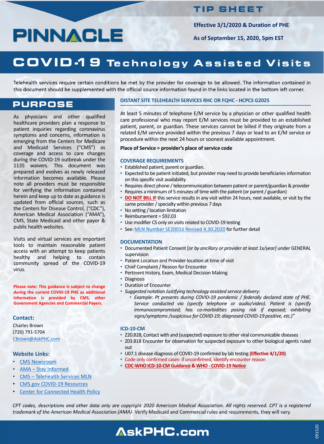# PINNAGLE

### **TIP SHEET**

As physicians and other qualified healthcare providers plan a response to patient inquiries regarding coronavirus symptoms and concerns, information is emerging from the Centers for Medicare and Medicaid Services ("CMS") as coverage and access to care changes during the COVID-19 outbreak under the 1135 waivers. This document was prepared and evolves as newly released information becomes available. Please note all providers must be responsible for verifying the information contained herein and keep up to date as guidance is updated from official sources, such as the Centers for Disease Control, ("CDC"), American Medical Association ("AMA"), CMS, State Medicaid and other payor & public health websites.

At least 5 minutes of telephone E/M service by a physician or other qualified health care professional who may report E/M services must be provided to an established patient, parent, or guardian. These services cannot be billed if they originate from a related E/M service provided within the previous 7 days or lead to an E/M service or procedure within the next 24 hours or soonest available appointment.

- Established patient, parent or guardian.
- Expected to be patient initiated, but provider may need to provide beneficiaries information on this specific visit availability
- Requires direct phone / telecommunication between patient or parent/guardian & provider
- Requires a minimum of 5 minutes of time with the patient (or parent / guardian)
- **DO NOT BILL IF** this service results in any visit within 24 hours, next available, or visit by the same provider / specialty within previous 7 days
- No setting / location limitation
- Reimbursement = \$92.03
- Use modifier CS only on visits related to COVID-19 testing
- See: MLN Number SE20016 Revised [4.30.2020](https://www.cms.gov/files/document/se20016.pdf) for further detail

Visits and virtual services are important tools to maintain reasonable patient access with an attempt to keep patients healthy and helping to contain community spread of the COVID-19 virus.

**Please note: This guidance is subject to change during the current COVID-19 PHE as additional information is provided by CMS, other Government Agencies and Commercial Payers.**

#### **DISTANT SITE TELEHEALTH SERVICES RHC OR FQHC - HCPCS G2025**

#### **Place of Service = provider's place of service code**

#### **COVERAGE REQUIREMENTS**

- CMS [Newsroom](https://www.cms.gov/newsroom)
- AMA Stay [Informed](https://www.ama-assn.org/delivering-care/public-health/covid-19-2019-novel-coronavirus-resource-center-physicians)
- CMS [Telehealth](https://www.cms.gov/Outreach-and-Education/Medicare-Learning-Network-MLN/MLNProducts/Downloads/TelehealthSrvcsfctsht.pdf) Services MLN
- CMS.gov COVID-19 [Resources](https://www.cms.gov/About-CMS/Agency-Information/Emergency/EPRO/Current-Emergencies/Current-Emergencies-page)
- **Center for [Connected](https://www.cchpca.org/resources/covid-19-telehealth-coverage-policies) Health Policy**

#### **DOCUMENTATION**

- Documented Patient Consent [or *by ancillary or provider at least 1x/year]* under GENERAL supervision
- Patient Location and Provider location at time of visit
- Chief Complaint / Reason for Encounter
- Pertinent History, Exam, Medical Decision Making
- Diagnosis
- Duration of Encounter
- *Suggested notation Justifying technology assisted service delivery:*
	- *Example: Pt presents during COVID-19 pandemic / federally declared state of PHE. Service conducted via (specify telephone or audio/video). Patient is (specify immunocompromised; has co-morbidities posing risk if exposed; exhibiting signs/symptoms/suspiciousfor COVID-19; diagnosed COVID-19 positive, etc.)"*

#### **ICD-10-CM**

- Z20.828, Contact with and (suspected) exposure to other viral communicable diseases
- Z03.818 Encounter for observation for suspected exposure to other biological agents ruled out
- U07.1 disease diagnosis of COVID-19 confirmed by lab testing **(Effective 4/1/20)**
- Code only confirmed cases- if unconfirmed, identify encounter reason
- **[CDC-WHOICD-10-CM](https://www.cdc.gov/nchs/data/icd/ICD-10-CM-Official-Coding-Gudance-Interim-Advice-coronavirus-feb-20-2020.pdf) Guidance & WHO- [COVID-19Notice](https://www.who.int/classifications/icd/covid19/en/)**

CPT codes, descriptions and other data only are copyright 2020 American Medical Association. All rights reserved. CPT is a registered trademark of the American Medical Association (AMA)- Verify Medicaid and Commercial rules and requirements, they will vary.

## **AskPHC.com**

**Effective 3/1/2020 & Duration of PHE**

**As of September 15, 2020, 5pm EST**

## COVID-19 Technology Assisted Visits

Telehealth services require certain conditions be met by the provider for coverage to be allowed. The information contained in this document should be supplemented with the official source information found in the links located in the bottom left corner.

### **PURPOSE**

#### **Contact:**

Charles Brown (720) 791-5704 [CBrown@AskPHC.com](mailto:CBrown@AskPHC.com)